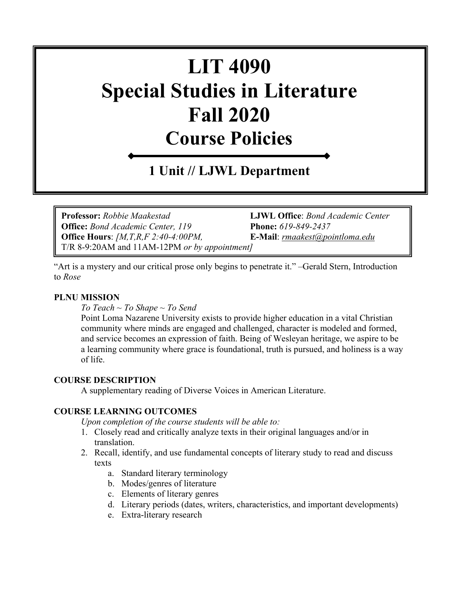# **LIT 4090 Special Studies in Literature Fall 2020 Course Policies**

## **1 Unit // LJWL Department**

**Professor:** *Robbie Maakestad* **LJWL Office**: *Bond Academic Center*  **Office:** *Bond Academic Center, 119* **Phone:** *619-849-2437* **Office Hours**: *[M,T,R,F 2:40-4:00PM,* **E-Mail**: *[rmaakest@pointloma.edu](mailto:rmaakest@pointloma.edu)*  T/R 8-9:20AM and 11AM-12PM *or by appointment]*

"Art is a mystery and our critical prose only begins to penetrate it." –Gerald Stern, Introduction to *Rose*

#### **PLNU MISSION**

*To Teach ~ To Shape ~ To Send* 

Point Loma Nazarene University exists to provide higher education in a vital Christian community where minds are engaged and challenged, character is modeled and formed, and service becomes an expression of faith. Being of Wesleyan heritage, we aspire to be a learning community where grace is foundational, truth is pursued, and holiness is a way of life.

#### **COURSE DESCRIPTION**

A supplementary reading of Diverse Voices in American Literature.

#### **COURSE LEARNING OUTCOMES**

*Upon completion of the course students will be able to:*

- 1. Closely read and critically analyze texts in their original languages and/or in translation.
- 2. Recall, identify, and use fundamental concepts of literary study to read and discuss texts
	- a. Standard literary terminology
	- b. Modes/genres of literature
	- c. Elements of literary genres
	- d. Literary periods (dates, writers, characteristics, and important developments)
	- e. Extra-literary research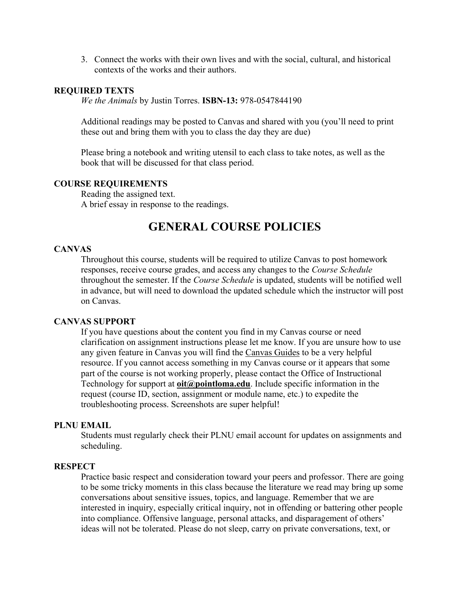3. Connect the works with their own lives and with the social, cultural, and historical contexts of the works and their authors.

#### **REQUIRED TEXTS**

*We the Animals* by Justin Torres. **ISBN-13:** 978-0547844190

Additional readings may be posted to Canvas and shared with you (you'll need to print these out and bring them with you to class the day they are due)

Please bring a notebook and writing utensil to each class to take notes, as well as the book that will be discussed for that class period.

#### **COURSE REQUIREMENTS**

Reading the assigned text. A brief essay in response to the readings.

### **GENERAL COURSE POLICIES**

#### **CANVAS**

Throughout this course, students will be required to utilize Canvas to post homework responses, receive course grades, and access any changes to the *Course Schedule* throughout the semester. If the *Course Schedule* is updated, students will be notified well in advance, but will need to download the updated schedule which the instructor will post on Canvas.

#### **CANVAS SUPPORT**

If you have questions about the content you find in my Canvas course or need clarification on assignment instructions please let me know. If you are unsure how to use any given feature in Canvas you will find the [Canvas Guides](https://community.canvaslms.com/community/answers/guides/) to be a very helpful resource. If you cannot access something in my Canvas course or it appears that some part of the course is not working properly, please contact the Office of Instructional Technology for support at **[oit@pointloma.edu](mailto:oit@pointloma.edu)**. Include specific information in the request (course ID, section, assignment or module name, etc.) to expedite the troubleshooting process. Screenshots are super helpful!

#### **PLNU EMAIL**

Students must regularly check their PLNU email account for updates on assignments and scheduling.

#### **RESPECT**

Practice basic respect and consideration toward your peers and professor. There are going to be some tricky moments in this class because the literature we read may bring up some conversations about sensitive issues, topics, and language. Remember that we are interested in inquiry, especially critical inquiry, not in offending or battering other people into compliance. Offensive language, personal attacks, and disparagement of others' ideas will not be tolerated. Please do not sleep, carry on private conversations, text, or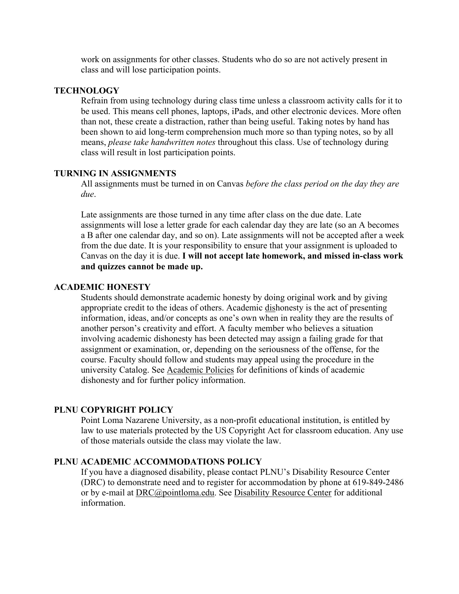work on assignments for other classes. Students who do so are not actively present in class and will lose participation points.

#### **TECHNOLOGY**

Refrain from using technology during class time unless a classroom activity calls for it to be used. This means cell phones, laptops, iPads, and other electronic devices. More often than not, these create a distraction, rather than being useful. Taking notes by hand has been shown to aid long-term comprehension much more so than typing notes, so by all means, *please take handwritten notes* throughout this class. Use of technology during class will result in lost participation points.

#### **TURNING IN ASSIGNMENTS**

All assignments must be turned in on Canvas *before the class period on the day they are due*.

Late assignments are those turned in any time after class on the due date. Late assignments will lose a letter grade for each calendar day they are late (so an A becomes a B after one calendar day, and so on). Late assignments will not be accepted after a week from the due date. It is your responsibility to ensure that your assignment is uploaded to Canvas on the day it is due. **I will not accept late homework, and missed in-class work and quizzes cannot be made up.**

#### **ACADEMIC HONESTY**

Students should demonstrate academic honesty by doing original work and by giving appropriate credit to the ideas of others. Academic dishonesty is the act of presenting information, ideas, and/or concepts as one's own when in reality they are the results of another person's creativity and effort. A faculty member who believes a situation involving academic dishonesty has been detected may assign a failing grade for that assignment or examination, or, depending on the seriousness of the offense, for the course. Faculty should follow and students may appeal using the procedure in the university Catalog. See [Academic Policies](http://catalog.pointloma.edu/content.php?catoid=18&navoid=1278) for definitions of kinds of academic dishonesty and for further policy information.

#### **PLNU COPYRIGHT POLICY**

Point Loma Nazarene University, as a non-profit educational institution, is entitled by law to use materials protected by the US Copyright Act for classroom education. Any use of those materials outside the class may violate the law.

#### **PLNU ACADEMIC ACCOMMODATIONS POLICY**

If you have a diagnosed disability, please contact PLNU's Disability Resource Center (DRC) to demonstrate need and to register for accommodation by phone at 619-849-2486 or by e-mail at [DRC@pointloma.edu.](mailto:DRC@pointloma.edu) See [Disability Resource Center](http://www.pointloma.edu/experience/offices/administrative-offices/academic-advising-office/disability-resource-center) for additional information.